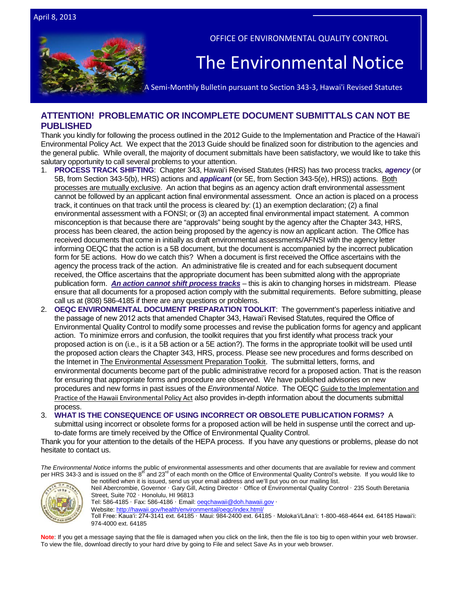

OFFICE OF ENVIRONMENTAL QUALITY CONTROL

# The Environmental Notice

A Semi-Monthly Bulletin pursuant to Section 343-3, Hawai'i Revised Statutes

# **ATTENTION! PROBLEMATIC OR INCOMPLETE DOCUMENT SUBMITTALS CAN NOT BE PUBLISHED**

Thank you kindly for following the process outlined in the 2012 Guide to the Implementation and Practice of the Hawai'i Environmental Policy Act. We expect that the 2013 Guide should be finalized soon for distribution to the agencies and the general public. While overall, the majority of document submittals have been satisfactory, we would like to take this salutary opportunity to call several problems to your attention.

- 1. **PROCESS TRACK SHIFTING**: Chapter 343, Hawai'i Revised Statutes (HRS) has two process tracks*, agency* (or 5B, from Section 343-5(b), HRS) actions and *applicant* (or 5E, from Section 343-5(e), HRS)) actions. Both processes are mutually exclusive. An action that begins as an agency action draft environmental assessment cannot be followed by an applicant action final environmental assessment. Once an action is placed on a process track, it continues on that track until the process is cleared by: (1) an exemption declaration; (2) a final environmental assessment with a FONSI; or (3) an accepted final environmental impact statement. A common misconception is that because there are "approvals" being sought by the agency after the Chapter 343, HRS, process has been cleared, the action being proposed by the agency is now an applicant action. The Office has received documents that come in initially as draft environmental assessments/AFNSI with the agency letter informing OEQC that the action is a 5B document, but the document is accompanied by the incorrect publication form for 5E actions. How do we catch this? When a document is first received the Office ascertains with the agency the process track of the action. An administrative file is created and for each subsequent document received, the Office ascertains that the appropriate document has been submitted along with the appropriate publication form. *An action cannot shift process tracks* – this is akin to changing horses in midstream. Please ensure that all documents for a proposed action comply with the submittal requirements. Before submitting, please call us at (808) 586-4185 if there are any questions or problems.
- 2. **OEQC ENVIRONMENTAL DOCUMENT PREPARATION TOOLKIT**: The government's paperless initiative and the passage of new 2012 acts that amended Chapter 343, Hawaiʻi Revised Statutes, required the Office of Environmental Quality Control to modify some processes and revise the publication forms for agency and applicant action. To minimize errors and confusion, the toolkit requires that you first identify what process track your proposed action is on (i.e., is it a 5B action or a 5E action?). The forms in the appropriate toolkit will be used until the proposed action clears the Chapter 343, HRS, process. Please see new procedures and forms described on the Internet i[n The Environmental Assessment Preparation Toolki](http://oeqc.doh.hawaii.gov/Shared%20Documents/Forms/AllItems.aspx?RootFolder=%2fShared%20Documents%2fPreparation%5fof%5fHawaii%5fEnvironmental%5fPolicy%5fAct%5fDocuments&View=%7bC0C5C897%2d3066%2d4821%2d864E%2d36FB3D77F5D5%7d)t. The submittal letters, forms, and environmental documents become part of the public administrative record for a proposed action. That is the reason for ensuring that appropriate forms and procedure are observed. We have published advisories on new procedures and new forms in past issues of the *Environmental Notice*. The OEQC [Guide to the Implementation and](http://oeqc.doh.hawaii.gov/Shared%20Documents/Misc_Documents/Guide%20to%20the%20Implementation%20and%20Practice%20of%20the%20HEPA.pdf)  [Practice of the Hawaii Environmental Policy Act](http://oeqc.doh.hawaii.gov/Shared%20Documents/Misc_Documents/Guide%20to%20the%20Implementation%20and%20Practice%20of%20the%20HEPA.pdf) also provides in-depth information about the documents submittal process.

3. **WHAT IS THE CONSEQUENCE OF USING INCORRECT OR OBSOLETE PUBLICATION FORMS?** A

submittal using incorrect or obsolete forms for a proposed action will be held in suspense until the correct and upto-date forms are timely received by the Office of Environmental Quality Control.

Thank you for your attention to the details of the HEPA process. If you have any questions or problems, please do not hesitate to contact us.

*The Environmental Notice* informs the public of environmental assessments and other documents that are available for review and comment per HRS 343-3 and is issued on the 8<sup>th</sup> and 23<sup>rd</sup> of each month on the Office of Environmental Quality Control's website. If you would like to



be notified when it is issued, send us your email address and we'll put you on our mailing list. Neil Abercrombie, Governor · Gary Gill, Acting Director · Office of Environmental Quality Control · 235 South Beretania Street, Suite 702 · Honolulu, HI 96813

Tel: 586-4185 · Fax: 586-4186 · Email: oegchawaii@doh.hawaii.gov ·

Website: http://hawaii.gov/health/environmental/oegc/index.html/

Toll Free: Kauaʻi: 274-3141 ext. 64185 · Maui: 984-2400 ext. 64185 · Molokaʻi/Lānaʻi: 1-800-468-4644 ext. 64185 Hawaiʻi: 974-4000 ext. 64185

Note: If you get a message saying that the file is damaged when you click on the link, then the file is too big to open within your web browser. To view the file, download directly to your hard drive by going to File and select Save As in your web browser.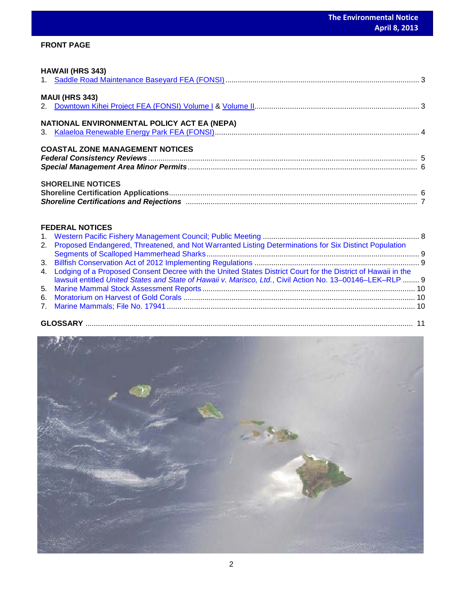# **FRONT PAGE**

| <b>HAWAII (HRS 343)</b>                     |  |
|---------------------------------------------|--|
|                                             |  |
| <b>MAUI (HRS 343)</b>                       |  |
| NATIONAL ENVIRONMENTAL POLICY ACT EA (NEPA) |  |
| <b>COASTAL ZONE MANAGEMENT NOTICES</b>      |  |
| <b>SHORELINE NOTICES</b>                    |  |

# **FEDERAL NOTICES**

| 2. Proposed Endangered, Threatened, and Not Warranted Listing Determinations for Six Distinct Population                                                                                                                     |  |
|------------------------------------------------------------------------------------------------------------------------------------------------------------------------------------------------------------------------------|--|
|                                                                                                                                                                                                                              |  |
|                                                                                                                                                                                                                              |  |
| 4. Lodging of a Proposed Consent Decree with the United States District Court for the District of Hawaii in the<br>lawsuit entitled United States and State of Hawaii v. Marisco, Ltd., Civil Action No. 13-00146-LEK-RLP  9 |  |
|                                                                                                                                                                                                                              |  |
|                                                                                                                                                                                                                              |  |
|                                                                                                                                                                                                                              |  |
|                                                                                                                                                                                                                              |  |

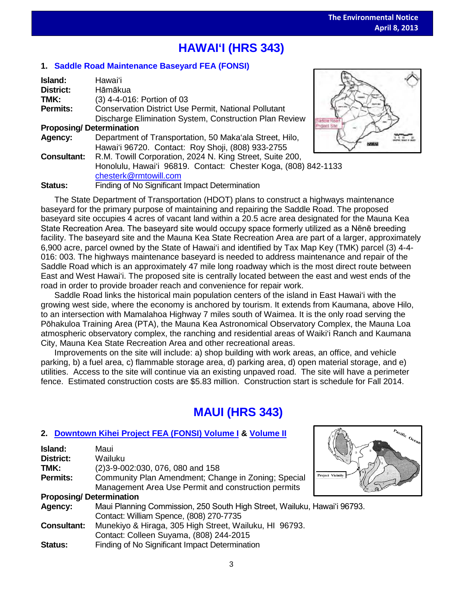# **HAWAI'I (HRS 343)**

# **1. [Saddle Road Maintenance Baseyard FEA \(FONSI\)](http://oeqc.doh.hawaii.gov/Shared%20Documents/EA_and_EIS_Online_Library/Hawaii/2010s/2013-04-08-HA-5B-FEA-Saddle-Road-Maintenance.pdf)**

| Island:                        | Hawai'i                                                        |  |  |  |  |
|--------------------------------|----------------------------------------------------------------|--|--|--|--|
| <b>District:</b>               | Hāmākua                                                        |  |  |  |  |
| TMK:                           | (3) 4-4-016: Portion of 03                                     |  |  |  |  |
| <b>Permits:</b>                | Conservation District Use Permit, National Pollutant           |  |  |  |  |
|                                | Discharge Elimination System, Construction Plan Review         |  |  |  |  |
| <b>Proposing/Determination</b> |                                                                |  |  |  |  |
| Agency:                        | Department of Transportation, 50 Maka'ala Street, Hilo,        |  |  |  |  |
|                                | Hawai'i 96720. Contact: Roy Shoji, (808) 933-2755              |  |  |  |  |
| <b>Consultant:</b>             | R.M. Towill Corporation, 2024 N. King Street, Suite 200,       |  |  |  |  |
|                                | Honolulu, Hawai'i 96819. Contact: Chester Koga, (808) 842-1133 |  |  |  |  |
|                                | chesterk@rmtowill.com                                          |  |  |  |  |
| Status:                        | Finding of No Significant Impact Determination                 |  |  |  |  |



 $\frac{P_{\hat{q}_\text{C}}}{Q_\text{C}}}$ 

The State Department of Transportation (HDOT) plans to construct a highways maintenance baseyard for the primary purpose of maintaining and repairing the Saddle Road. The proposed baseyard site occupies 4 acres of vacant land within a 20.5 acre area designated for the Mauna Kea State Recreation Area. The baseyard site would occupy space formerly utilized as a Nēnē breeding facility. The baseyard site and the Mauna Kea State Recreation Area are part of a larger, approximately 6,900 acre, parcel owned by the State of Hawai'i and identified by Tax Map Key (TMK) parcel (3) 4-4- 016: 003. The highways maintenance baseyard is needed to address maintenance and repair of the Saddle Road which is an approximately 47 mile long roadway which is the most direct route between East and West Hawai'i. The proposed site is centrally located between the east and west ends of the road in order to provide broader reach and convenience for repair work.

Saddle Road links the historical main population centers of the island in East Hawai'i with the growing west side, where the economy is anchored by tourism. It extends from Kaumana, above Hilo, to an intersection with Mamalahoa Highway 7 miles south of Waimea. It is the only road serving the Pōhakuloa Training Area (PTA), the Mauna Kea Astronomical Observatory Complex, the Mauna Loa atmospheric observatory complex, the ranching and residential areas of Waiki'i Ranch and Kaumana City, Mauna Kea State Recreation Area and other recreational areas.

Improvements on the site will include: a) shop building with work areas, an office, and vehicle parking, b) a fuel area, c) flammable storage area, d) parking area, d) open material storage, and e) utilities. Access to the site will continue via an existing unpaved road. The site will have a perimeter fence. Estimated construction costs are \$5.83 million. Construction start is schedule for Fall 2014.

# **MAUI (HRS 343)**

# **2. [Downtown Kihei Project](http://oeqc.doh.hawaii.gov/Shared%20Documents/EA_and_EIS_Online_Library/Maui/2010s/2013-04-08-MA-5B-FEA-Downtown-Kihei-Project-Volume-I.pdf) FEA (FONSI) Volume I & [Volume II](http://oeqc.doh.hawaii.gov/Shared%20Documents/EA_and_EIS_Online_Library/Maui/2010s/2013-04-08-MA-5B-FEA-Downtown-Kihei-Project-Volume-II.pdf)**

| <b>Island:</b>                 | Maui                                                                     |                         |
|--------------------------------|--------------------------------------------------------------------------|-------------------------|
| District:                      | Wailuku                                                                  |                         |
| TMK:                           | (2) 3-9-002:030, 076, 080 and 158                                        |                         |
| <b>Permits:</b>                | Community Plan Amendment; Change in Zoning; Special                      | <b>Project Vicinity</b> |
|                                | Management Area Use Permit and construction permits                      |                         |
| <b>Proposing/Determination</b> |                                                                          |                         |
| Agency:                        | Maui Planning Commission, 250 South High Street, Wailuku, Hawai'i 96793. |                         |
|                                | Contact: William Spence, (808) 270-7735                                  |                         |
| <b>Consultant:</b>             | Munekiyo & Hiraga, 305 High Street, Wailuku, HI 96793.                   |                         |
|                                | Contact: Colleen Suyama, (808) 244-2015                                  |                         |
| <b>Status:</b>                 | Finding of No Significant Impact Determination                           |                         |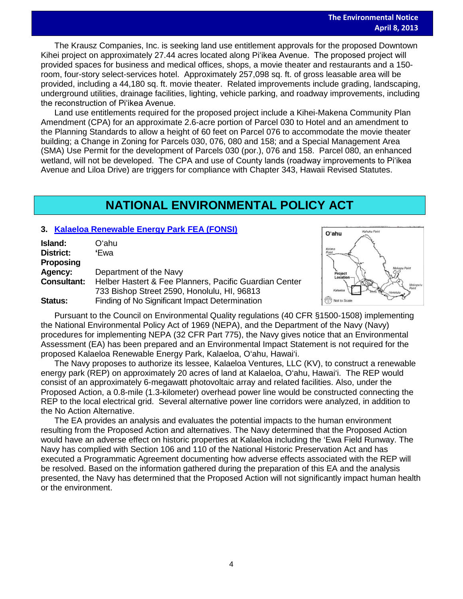The Krausz Companies, Inc. is seeking land use entitlement approvals for the proposed Downtown Kihei project on approximately 27.44 acres located along Piʻikea Avenue. The proposed project will provided spaces for business and medical offices, shops, a movie theater and restaurants and a 150 room, four-story select-services hotel. Approximately 257,098 sq. ft. of gross leasable area will be provided, including a 44,180 sq. ft. movie theater. Related improvements include grading, landscaping, underground utilities, drainage facilities, lighting, vehicle parking, and roadway improvements, including the reconstruction of Piʻikea Avenue.

Land use entitlements required for the proposed project include a Kihei-Makena Community Plan Amendment (CPA) for an approximate 2.6-acre portion of Parcel 030 to Hotel and an amendment to the Planning Standards to allow a height of 60 feet on Parcel 076 to accommodate the movie theater building; a Change in Zoning for Parcels 030, 076, 080 and 158; and a Special Management Area (SMA) Use Permit for the development of Parcels 030 (por.), 076 and 158. Parcel 080, an enhanced wetland, will not be developed. The CPA and use of County lands (roadway improvements to Piʻikea Avenue and Liloa Drive) are triggers for compliance with Chapter 343, Hawaii Revised Statutes.

# **NATIONAL ENVIRONMENTAL POLICY ACT**

# **3. [Kalaeloa Renewable Energy Park](http://oeqc.doh.hawaii.gov/Shared%20Documents/EA_and_EIS_Online_Library/NEPA%20and%20Other%20Documents/2013-04-08-NEPA-EA-FONSI-Kalaeloa-Renewable-Energy-Park.pdf) FEA (FONSI)**

| Island:            | Oʻahu                                                  |
|--------------------|--------------------------------------------------------|
| District:          | 'Ewa                                                   |
| Proposing          |                                                        |
| Agency:            | Department of the Navy                                 |
| <b>Consultant:</b> | Helber Hastert & Fee Planners, Pacific Guardian Center |
|                    | 733 Bishop Street 2590, Honolulu, HI, 96813            |
| Status:            | Finding of No Significant Impact Determination         |



Pursuant to the Council on Environmental Quality regulations (40 CFR §1500-1508) implementing the National Environmental Policy Act of 1969 (NEPA), and the Department of the Navy (Navy) procedures for implementing NEPA (32 CFR Part 775), the Navy gives notice that an Environmental Assessment (EA) has been prepared and an Environmental Impact Statement is not required for the proposed Kalaeloa Renewable Energy Park, Kalaeloa, O'ahu, Hawai'i.

The Navy proposes to authorize its lessee, Kalaeloa Ventures, LLC (KV), to construct a renewable energy park (REP) on approximately 20 acres of land at Kalaeloa, O'ahu, Hawai'i. The REP would consist of an approximately 6-megawatt photovoltaic array and related facilities. Also, under the Proposed Action, a 0.8-mile (1.3-kilometer) overhead power line would be constructed connecting the REP to the local electrical grid. Several alternative power line corridors were analyzed, in addition to the No Action Alternative.

The EA provides an analysis and evaluates the potential impacts to the human environment resulting from the Proposed Action and alternatives. The Navy determined that the Proposed Action would have an adverse effect on historic properties at Kalaeloa including the 'Ewa Field Runway. The Navy has complied with Section 106 and 110 of the National Historic Preservation Act and has executed a Programmatic Agreement documenting how adverse effects associated with the REP will be resolved. Based on the information gathered during the preparation of this EA and the analysis presented, the Navy has determined that the Proposed Action will not significantly impact human health or the environment.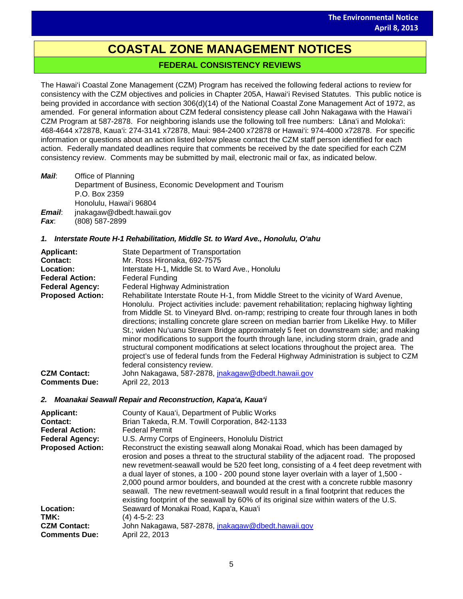# **COASTAL ZONE MANAGEMENT NOTICES**

# **FEDERAL CONSISTENCY REVIEWS**

The Hawai'i Coastal Zone Management (CZM) Program has received the following federal actions to review for consistency with the CZM objectives and policies in Chapter 205A, Hawai'i Revised Statutes. This public notice is being provided in accordance with section 306(d)(14) of the National Coastal Zone Management Act of 1972, as amended. For general information about CZM federal consistency please call John Nakagawa with the Hawai'i CZM Program at 587-2878. For neighboring islands use the following toll free numbers: Lāna'i and Moloka'i: 468-4644 x72878, Kaua'i: 274-3141 x72878, Maui: 984-2400 x72878 or Hawai'i: 974-4000 x72878. For specific information or questions about an action listed below please contact the CZM staff person identified for each action. Federally mandated deadlines require that comments be received by the date specified for each CZM consistency review. Comments may be submitted by mail, electronic mail or fax, as indicated below.

| Mail:  | Office of Planning                                       |
|--------|----------------------------------------------------------|
|        | Department of Business, Economic Development and Tourism |
|        | P.O. Box 2359                                            |
|        | Honolulu, Hawai'i 96804                                  |
| Email: | jnakagaw@dbedt.hawaii.gov                                |

*Fax*: (808) 587-2899

## *1. Interstate Route H-1 Rehabilitation, Middle St. to Ward Ave., Honolulu, O'ahu*

| <b>Applicant:</b>       | State Department of Transportation                                                                                                                                                                                                                                                                                                                                                                                                                                                                                                                                                                                                                                                                                                                                                        |
|-------------------------|-------------------------------------------------------------------------------------------------------------------------------------------------------------------------------------------------------------------------------------------------------------------------------------------------------------------------------------------------------------------------------------------------------------------------------------------------------------------------------------------------------------------------------------------------------------------------------------------------------------------------------------------------------------------------------------------------------------------------------------------------------------------------------------------|
| Contact:                | Mr. Ross Hironaka, 692-7575                                                                                                                                                                                                                                                                                                                                                                                                                                                                                                                                                                                                                                                                                                                                                               |
| Location:               | Interstate H-1, Middle St. to Ward Ave., Honolulu                                                                                                                                                                                                                                                                                                                                                                                                                                                                                                                                                                                                                                                                                                                                         |
| <b>Federal Action:</b>  | <b>Federal Funding</b>                                                                                                                                                                                                                                                                                                                                                                                                                                                                                                                                                                                                                                                                                                                                                                    |
| <b>Federal Agency:</b>  | Federal Highway Administration                                                                                                                                                                                                                                                                                                                                                                                                                                                                                                                                                                                                                                                                                                                                                            |
| <b>Proposed Action:</b> | Rehabilitate Interstate Route H-1, from Middle Street to the vicinity of Ward Avenue,<br>Honolulu. Project activities include: pavement rehabilitation; replacing highway lighting<br>from Middle St. to Vineyard Blvd. on-ramp; restriping to create four through lanes in both<br>directions; installing concrete glare screen on median barrier from Likelike Hwy. to Miller<br>St.; widen Nu'uanu Stream Bridge approximately 5 feet on downstream side; and making<br>minor modifications to support the fourth through lane, including storm drain, grade and<br>structural component modifications at select locations throughout the project area. The<br>project's use of federal funds from the Federal Highway Administration is subject to CZM<br>federal consistency review. |
| <b>CZM Contact:</b>     | John Nakagawa, 587-2878, jnakagaw@dbedt.hawaii.gov                                                                                                                                                                                                                                                                                                                                                                                                                                                                                                                                                                                                                                                                                                                                        |
| <b>Comments Due:</b>    | April 22, 2013                                                                                                                                                                                                                                                                                                                                                                                                                                                                                                                                                                                                                                                                                                                                                                            |

## *2. Moanakai Seawall Repair and Reconstruction, Kapa'a, Kaua'i*

| <b>Applicant:</b><br>Contact:<br><b>Federal Action:</b><br><b>Federal Agency:</b><br><b>Proposed Action:</b> | County of Kaua'i, Department of Public Works<br>Brian Takeda, R.M. Towill Corporation, 842-1133<br><b>Federal Permit</b><br>U.S. Army Corps of Engineers, Honolulu District<br>Reconstruct the existing seawall along Monakai Road, which has been damaged by<br>erosion and poses a threat to the structural stability of the adjacent road. The proposed<br>new revetment-seawall would be 520 feet long, consisting of a 4 feet deep revetment with<br>a dual layer of stones, a 100 - 200 pound stone layer overlain with a layer of 1,500 -<br>2,000 pound armor boulders, and bounded at the crest with a concrete rubble masonry<br>seawall. The new revetment-seawall would result in a final footprint that reduces the<br>existing footprint of the seawall by 60% of its original size within waters of the U.S. |
|--------------------------------------------------------------------------------------------------------------|-----------------------------------------------------------------------------------------------------------------------------------------------------------------------------------------------------------------------------------------------------------------------------------------------------------------------------------------------------------------------------------------------------------------------------------------------------------------------------------------------------------------------------------------------------------------------------------------------------------------------------------------------------------------------------------------------------------------------------------------------------------------------------------------------------------------------------|
| Location:                                                                                                    | Seaward of Monakai Road, Kapa'a, Kaua'i                                                                                                                                                                                                                                                                                                                                                                                                                                                                                                                                                                                                                                                                                                                                                                                     |
| TMK:                                                                                                         | (4) 4-5-2: 23                                                                                                                                                                                                                                                                                                                                                                                                                                                                                                                                                                                                                                                                                                                                                                                                               |
| <b>CZM Contact:</b><br><b>Comments Due:</b>                                                                  | John Nakagawa, 587-2878, inakagaw@dbedt.hawaii.gov<br>April 22, 2013                                                                                                                                                                                                                                                                                                                                                                                                                                                                                                                                                                                                                                                                                                                                                        |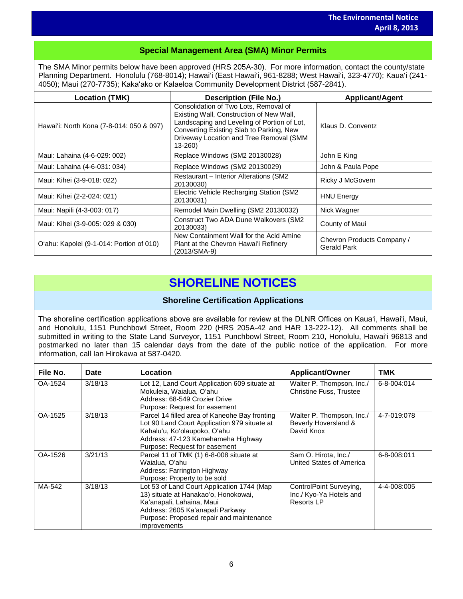# **Special Management Area (SMA) Minor Permits**

The SMA Minor permits below have been approved (HRS 205A-30). For more information, contact the county/state Planning Department. Honolulu (768-8014); Hawai'i (East Hawai'i, 961-8288; West Hawai'i, 323-4770); Kaua'i (241- 4050); Maui (270-7735); Kakaʻako or Kalaeloa Community Development District (587-2841).

| <b>Location (TMK)</b>                    | <b>Description (File No.)</b>                                                                                                                                                                                                      | <b>Applicant/Agent</b>                    |
|------------------------------------------|------------------------------------------------------------------------------------------------------------------------------------------------------------------------------------------------------------------------------------|-------------------------------------------|
| Hawai'i: North Kona (7-8-014: 050 & 097) | Consolidation of Two Lots, Removal of<br>Existing Wall, Construction of New Wall,<br>Landscaping and Leveling of Portion of Lot,<br>Converting Existing Slab to Parking, New<br>Driveway Location and Tree Removal (SMM<br>13-260) | Klaus D. Conventz                         |
| Maui: Lahaina (4-6-029: 002)             | Replace Windows (SM2 20130028)                                                                                                                                                                                                     | John E King                               |
| Maui: Lahaina (4-6-031: 034)             | Replace Windows (SM2 20130029)                                                                                                                                                                                                     | John & Paula Pope                         |
| Maui: Kihei (3-9-018: 022)               | Restaurant - Interior Alterations (SM2)<br>20130030)                                                                                                                                                                               | Ricky J McGovern                          |
| Maui: Kihei (2-2-024: 021)               | Electric Vehicle Recharging Station (SM2<br>20130031)                                                                                                                                                                              | <b>HNU Energy</b>                         |
| Maui: Napili (4-3-003: 017)              | Remodel Main Dwelling (SM2 20130032)                                                                                                                                                                                               | Nick Wagner                               |
| Maui: Kihei (3-9-005: 029 & 030)         | <b>Construct Two ADA Dune Walkovers (SM2)</b><br>20130033)                                                                                                                                                                         | County of Maui                            |
| O'ahu: Kapolei (9-1-014: Portion of 010) | New Containment Wall for the Acid Amine<br>Plant at the Chevron Hawai'i Refinery<br>(2013/SMA-9)                                                                                                                                   | Chevron Products Company /<br>Gerald Park |

# **SHORELINE NOTICES**

## **Shoreline Certification Applications**

The shoreline certification applications above are available for review at the DLNR Offices on Kauaʻi, Hawaiʻi, Maui, and Honolulu, 1151 Punchbowl Street, Room 220 (HRS 205A-42 and HAR 13-222-12). All comments shall be submitted in writing to the State Land Surveyor, 1151 Punchbowl Street, Room 210, Honolulu, Hawai'i 96813 and postmarked no later than 15 calendar days from the date of the public notice of the application. For more information, call Ian Hirokawa at 587-0420.

| File No. | <b>Date</b> | Location                                                                                                                                                                                                        | Applicant/Owner                                                         | <b>TMK</b>  |
|----------|-------------|-----------------------------------------------------------------------------------------------------------------------------------------------------------------------------------------------------------------|-------------------------------------------------------------------------|-------------|
| OA-1524  | 3/18/13     | Lot 12, Land Court Application 609 situate at<br>Mokuleia, Waialua, O'ahu<br>Address: 68-549 Crozier Drive<br>Purpose: Request for easement                                                                     | Walter P. Thompson, Inc./<br><b>Christine Fuss, Trustee</b>             | 6-8-004:014 |
| OA-1525  | 3/18/13     | Parcel 14 filled area of Kaneohe Bay fronting<br>Lot 90 Land Court Application 979 situate at<br>Kahalu'u, Ko'olaupoko, O'ahu<br>Address: 47-123 Kamehameha Highway<br>Purpose: Request for easement            | Walter P. Thompson, Inc./<br>Beverly Hoversland &<br>David Knox         | 4-7-019:078 |
| OA-1526  | 3/21/13     | Parcel 11 of TMK (1) 6-8-008 situate at<br>Waialua, O'ahu<br>Address: Farrington Highway<br>Purpose: Property to be sold                                                                                        | Sam O. Hirota, Inc./<br>United States of America                        | 6-8-008:011 |
| MA-542   | 3/18/13     | Lot 53 of Land Court Application 1744 (Map<br>13) situate at Hanakao'o, Honokowai,<br>Ka'anapali, Lahaina, Maui<br>Address: 2605 Ka'anapali Parkway<br>Purpose: Proposed repair and maintenance<br>improvements | ControlPoint Surveying,<br>Inc./ Kyo-Ya Hotels and<br><b>Resorts LP</b> | 4-4-008:005 |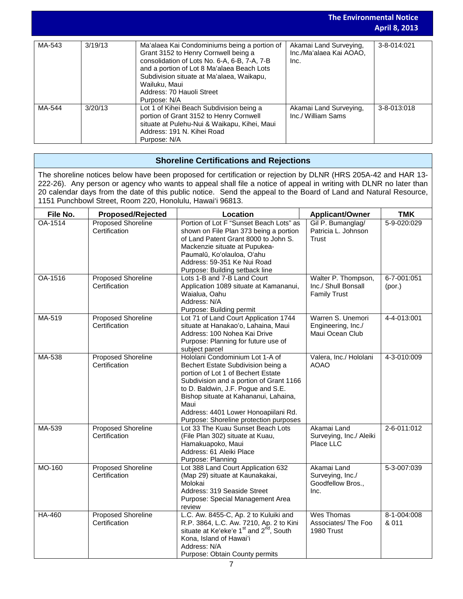| <b>The Environmental Notice</b> |         |                                                                                                                                                                                                                                                                                               | <b>April 8, 2013</b>                                      |             |
|---------------------------------|---------|-----------------------------------------------------------------------------------------------------------------------------------------------------------------------------------------------------------------------------------------------------------------------------------------------|-----------------------------------------------------------|-------------|
| MA-543                          | 3/19/13 | Ma'alaea Kai Condominiums being a portion of<br>Grant 3152 to Henry Cornwell being a<br>consolidation of Lots No. 6-A, 6-B, 7-A, 7-B<br>and a portion of Lot 8 Ma'alaea Beach Lots<br>Subdivision situate at Ma'alaea, Waikapu,<br>Wailuku, Maui<br>Address: 70 Hauoli Street<br>Purpose: N/A | Akamai Land Surveying,<br>Inc./Ma'alaea Kai AOAO.<br>Inc. | 3-8-014:021 |
| MA-544                          | 3/20/13 | Lot 1 of Kihei Beach Subdivision being a<br>portion of Grant 3152 to Henry Cornwell<br>situate at Pulehu-Nui & Waikapu, Kihei, Maui<br>Address: 191 N. Kihei Road<br>Purpose: N/A                                                                                                             | Akamai Land Surveying,<br>Inc./ William Sams              | 3-8-013:018 |

# **Shoreline Certifications and Rejections**

The shoreline notices below have been proposed for certification or rejection by DLNR (HRS 205A-42 and HAR 13- 222-26). Any person or agency who wants to appeal shall file a notice of appeal in writing with DLNR no later than 20 calendar days from the date of this public notice. Send the appeal to the Board of Land and Natural Resource, 1151 Punchbowl Street, Room 220, Honolulu, Hawai'i 96813.

| File No. | <b>Proposed/Rejected</b>                   | Location                                                                                                                                                                                                                                                                                                                        | <b>Applicant/Owner</b>                                            | <b>TMK</b>            |
|----------|--------------------------------------------|---------------------------------------------------------------------------------------------------------------------------------------------------------------------------------------------------------------------------------------------------------------------------------------------------------------------------------|-------------------------------------------------------------------|-----------------------|
| OA-1514  | <b>Proposed Shoreline</b><br>Certification | Portion of Lot F "Sunset Beach Lots" as<br>shown on File Plan 373 being a portion<br>of Land Patent Grant 8000 to John S.<br>Mackenzie situate at Pupukea-<br>Paumalū, Koʻolauloa, Oʻahu<br>Address: 59-351 Ke Nui Road<br>Purpose: Building setback line                                                                       | Gil P. Bumanglag/<br>Patricia L. Johnson<br><b>Trust</b>          | 5-9-020:029           |
| OA-1516  | <b>Proposed Shoreline</b><br>Certification | Lots 1-B and 7-B Land Court<br>Application 1089 situate at Kamananui,<br>Waialua, Oahu<br>Address: N/A<br>Purpose: Building permit                                                                                                                                                                                              | Walter P. Thompson,<br>Inc./ Shull Bonsall<br><b>Family Trust</b> | 6-7-001:051<br>(por.) |
| MA-519   | <b>Proposed Shoreline</b><br>Certification | Lot 71 of Land Court Application 1744<br>situate at Hanakao'o, Lahaina, Maui<br>Address: 100 Nohea Kai Drive<br>Purpose: Planning for future use of<br>subject parcel                                                                                                                                                           | Warren S. Unemori<br>Engineering, Inc./<br>Maui Ocean Club        | 4-4-013:001           |
| MA-538   | <b>Proposed Shoreline</b><br>Certification | Hololani Condominium Lot 1-A of<br>Bechert Estate Subdivision being a<br>portion of Lot 1 of Bechert Estate<br>Subdivision and a portion of Grant 1166<br>to D. Baldwin, J.F. Pogue and S.E.<br>Bishop situate at Kahananui, Lahaina,<br>Maui<br>Address: 4401 Lower Honoapiilani Rd.<br>Purpose: Shoreline protection purposes | Valera, Inc./ Hololani<br><b>AOAO</b>                             | 4-3-010:009           |
| MA-539   | <b>Proposed Shoreline</b><br>Certification | Lot 33 The Kuau Sunset Beach Lots<br>(File Plan 302) situate at Kuau,<br>Hamakuapoko, Maui<br>Address: 61 Aleiki Place<br>Purpose: Planning                                                                                                                                                                                     | Akamai Land<br>Surveying, Inc./ Aleiki<br>Place LLC               | 2-6-011:012           |
| MO-160   | Proposed Shoreline<br>Certification        | Lot 388 Land Court Application 632<br>(Map 29) situate at Kaunakakai,<br>Molokai<br>Address: 319 Seaside Street<br>Purpose: Special Management Area<br>review                                                                                                                                                                   | Akamai Land<br>Surveying, Inc./<br>Goodfellow Bros.,<br>Inc.      | 5-3-007:039           |
| HA-460   | <b>Proposed Shoreline</b><br>Certification | L.C. Aw. 8455-C, Ap. 2 to Kuluiki and<br>R.P. 3864, L.C. Aw. 7210, Ap. 2 to Kini<br>situate at Ke'eke'e 1 <sup>st</sup> and 2 <sup>nd</sup> , South<br>Kona, Island of Hawai'i<br>Address: N/A<br>Purpose: Obtain County permits                                                                                                | Wes Thomas<br>Associates/ The Foo<br>1980 Trust                   | 8-1-004:008<br>& 011  |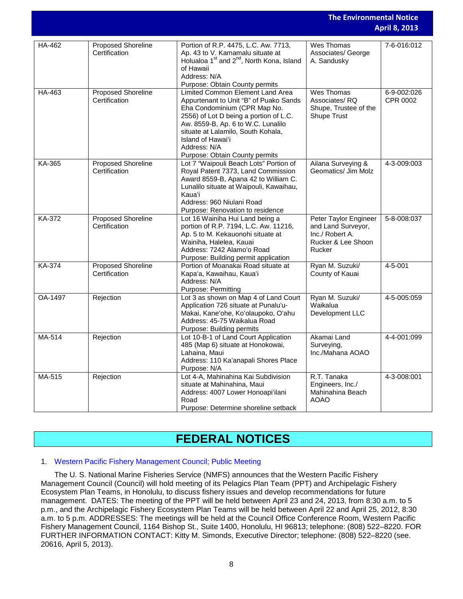|         |                                     |                                                                                                                                                                                                                                                                                                         | <b>The Environmental Notice</b><br><b>April 8, 2013</b>                                        |                         |
|---------|-------------------------------------|---------------------------------------------------------------------------------------------------------------------------------------------------------------------------------------------------------------------------------------------------------------------------------------------------------|------------------------------------------------------------------------------------------------|-------------------------|
| HA-462  | Proposed Shoreline<br>Certification | Portion of R.P. 4475, L.C. Aw. 7713,<br>Ap. 43 to V. Kamamalu situate at<br>Holualoa 1 <sup>st</sup> and 2 <sup>nd</sup> , North Kona, Island<br>of Hawaii<br>Address: N/A<br>Purpose: Obtain County permits                                                                                            | Wes Thomas<br>Associates/ George<br>A. Sandusky                                                | 7-6-016:012             |
| HA-463  | Proposed Shoreline<br>Certification | Limited Common Element Land Area<br>Appurtenant to Unit "B" of Puako Sands<br>Eha Condominium (CPR Map No.<br>2556) of Lot D being a portion of L.C.<br>Aw. 8559-B, Ap. 6 to W.C. Lunalilo<br>situate at Lalamilo, South Kohala,<br>Island of Hawai'i<br>Address: N/A<br>Purpose: Obtain County permits | <b>Wes Thomas</b><br>Associates/RQ<br>Shupe, Trustee of the<br><b>Shupe Trust</b>              | 6-9-002:026<br>CPR 0002 |
| KA-365  | Proposed Shoreline<br>Certification | Lot 7 "Waipouli Beach Lots" Portion of<br>Royal Patent 7373, Land Commission<br>Award 8559-B, Apana 42 to William C.<br>Lunalilo situate at Waipouli, Kawaihau,<br>Kaua'i<br>Address: 960 Niulani Road<br>Purpose: Renovation to residence                                                              | Ailana Surveying &<br>Geomatics/ Jim Molz                                                      | 4-3-009:003             |
| KA-372  | Proposed Shoreline<br>Certification | Lot 16 Wainiha Hui Land being a<br>portion of R.P. 7194, L.C. Aw. 11216,<br>Ap. 5 to M. Kekauonohi situate at<br>Wainiha, Halelea, Kauai<br>Address: 7242 Alamo'o Road<br>Purpose: Building permit application                                                                                          | Peter Taylor Engineer<br>and Land Surveyor,<br>Inc./ Robert A.<br>Rucker & Lee Shoon<br>Rucker | 5-8-008:037             |
| KA-374  | Proposed Shoreline<br>Certification | Portion of Moanakai Road situate at<br>Kapa'a, Kawaihau, Kaua'i<br>Address: N/A<br>Purpose: Permitting                                                                                                                                                                                                  | Ryan M. Suzuki/<br>County of Kauai                                                             | 4-5-001                 |
| OA-1497 | Rejection                           | Lot 3 as shown on Map 4 of Land Court<br>Application 726 situate at Punalu'u-<br>Makai, Kane'ohe, Ko'olaupoko, O'ahu<br>Address: 45-75 Waikalua Road<br>Purpose: Building permits                                                                                                                       | Ryan M. Suzuki/<br>Waikalua<br>Development LLC                                                 | 4-5-005:059             |
| MA-514  | Rejection                           | Lot 10-B-1 of Land Court Application<br>485 (Map 6) situate at Honokowai,<br>Lahaina, Maui<br>Address: 110 Ka'anapali Shores Place<br>Purpose: N/A                                                                                                                                                      | Akamai Land<br>Surveying,<br>Inc./Mahana AOAO                                                  | 4-4-001:099             |
| MA-515  | Rejection                           | Lot 4-A, Mahinahina Kai Subdivision<br>situate at Mahinahina, Maui<br>Address: 4007 Lower Honoapi'ilani<br>Road<br>Purpose: Determine shoreline setback                                                                                                                                                 | R.T. Tanaka<br>Engineers, Inc./<br>Mahinahina Beach<br><b>AOAO</b>                             | 4-3-008:001             |

# **FEDERAL NOTICES**

## 1. [Western Pacific Fishery Management Council; Public Meeting](http://www.gpo.gov/fdsys/pkg/FR-2013-04-05/pdf/2013-07954.pdf)

The U. S. National Marine Fisheries Service (NMFS) announces that the Western Pacific Fishery Management Council (Council) will hold meeting of its Pelagics Plan Team (PPT) and Archipelagic Fishery Ecosystem Plan Teams, in Honolulu, to discuss fishery issues and develop recommendations for future management. DATES: The meeting of the PPT will be held between April 23 and 24, 2013, from 8:30 a.m. to 5 p.m., and the Archipelagic Fishery Ecosystem Plan Teams will be held between April 22 and April 25, 2012, 8:30 a.m. to 5 p.m. ADDRESSES: The meetings will be held at the Council Office Conference Room, Western Pacific Fishery Management Council, 1164 Bishop St., Suite 1400, Honolulu, HI 96813; telephone: (808) 522–8220. FOR FURTHER INFORMATION CONTACT: Kitty M. Simonds, Executive Director; telephone: (808) 522–8220 (see. 20616, April 5, 2013).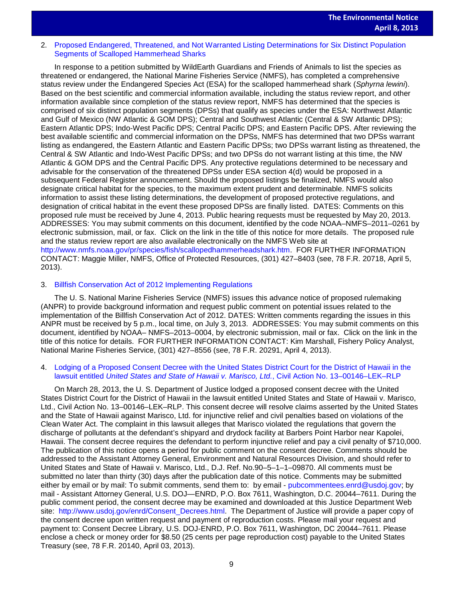# 2. Proposed Endangered, Threatened, and Not Warranted Listing Determinations for Six Distinct Population<br>Segments of Scallened Hammerboad Sharks [Segments of Scalloped Hammerhead Sharks](http://www.gpo.gov/fdsys/pkg/FR-2013-04-05/pdf/2013-07781.pdf)

In response to a petition submitted by WildEarth Guardians and Friends of Animals to list the species as threatened or endangered, the National Marine Fisheries Service (NMFS), has completed a comprehensive status review under the Endangered Species Act (ESA) for the scalloped hammerhead shark (*Sphyrna lewini*). Based on the best scientific and commercial information available, including the status review report, and other information available since completion of the status review report, NMFS has determined that the species is comprised of six distinct population segments (DPSs) that qualify as species under the ESA: Northwest Atlantic and Gulf of Mexico (NW Atlantic & GOM DPS); Central and Southwest Atlantic (Central & SW Atlantic DPS); Eastern Atlantic DPS; Indo-West Pacific DPS; Central Pacific DPS; and Eastern Pacific DPS. After reviewing the best available scientific and commercial information on the DPSs, NMFS has determined that two DPSs warrant listing as endangered, the Eastern Atlantic and Eastern Pacific DPSs; two DPSs warrant listing as threatened, the Central & SW Atlantic and Indo-West Pacific DPSs; and two DPSs do not warrant listing at this time, the NW Atlantic & GOM DPS and the Central Pacific DPS. Any protective regulations determined to be necessary and advisable for the conservation of the threatened DPSs under ESA section 4(d) would be proposed in a subsequent Federal Register announcement. Should the proposed listings be finalized, NMFS would also designate critical habitat for the species, to the maximum extent prudent and determinable. NMFS solicits information to assist these listing determinations, the development of proposed protective regulations, and designation of critical habitat in the event these proposed DPSs are finally listed. DATES: Comments on this proposed rule must be received by June 4, 2013. Public hearing requests must be requested by May 20, 2013. ADDRESSES: You may submit comments on this document, identified by the code NOAA–NMFS–2011–0261 by electronic submission, mail, or fax. Click on the link in the title of this notice for more details. The proposed rule and the status review report are also available electronically on the NMFS Web site at [http://www.nmfs.noaa.gov/pr/species/fish/scallopedhammerheadshark.htm.](http://www.nmfs.noaa.gov/pr/species/fish/scallopedhammerheadshark.htm) FOR FURTHER INFORMATION CONTACT: Maggie Miller, NMFS, Office of Protected Resources, (301) 427–8403 (see, 78 F.R. 20718, April 5, 2013).

## 3. [Billfish Conservation Act of 2012 Implementing Regulations](http://www.gpo.gov/fdsys/pkg/FR-2013-04-03/pdf/2013-07701.pdf)

The U. S. National Marine Fisheries Service (NMFS) issues this advance notice of proposed rulemaking (ANPR) to provide background information and request public comment on potential issues related to the implementation of the Billfish Conservation Act of 2012. DATES: Written comments regarding the issues in this ANPR must be received by 5 p.m., local time, on July 3, 2013. ADDRESSES: You may submit comments on this document, identified by NOAA– NMFS–2013–0004, by electronic submission, mail or fax. Click on the link in the title of this notice for details. FOR FURTHER INFORMATION CONTACT: Kim Marshall, Fishery Policy Analyst, National Marine Fisheries Service, (301) 427–8556 (see, 78 F.R. 20291, April 4, 2013).

## 4. [Lodging of a Proposed Consent Decree with the United States District Court for the District of Hawaii in the](http://www.gpo.gov/fdsys/pkg/FR-2013-04-03/pdf/2013-07701.pdf)  lawsuit entitled *[United States and State of Hawaii v. Marisco, Ltd.](http://www.gpo.gov/fdsys/pkg/FR-2013-04-03/pdf/2013-07701.pdf)*, Civil Action No. 13–00146–LEK–RLP

On March 28, 2013, the U. S. Department of Justice lodged a proposed consent decree with the United States District Court for the District of Hawaii in the lawsuit entitled United States and State of Hawaii v. Marisco, Ltd., Civil Action No. 13–00146–LEK–RLP. This consent decree will resolve claims asserted by the United States and the State of Hawaii against Marisco, Ltd. for injunctive relief and civil penalties based on violations of the Clean Water Act. The complaint in this lawsuit alleges that Marisco violated the regulations that govern the discharge of pollutants at the defendant's shipyard and drydock facility at Barbers Point Harbor near Kapolei, Hawaii. The consent decree requires the defendant to perform injunctive relief and pay a civil penalty of \$710,000. The publication of this notice opens a period for public comment on the consent decree. Comments should be addressed to the Assistant Attorney General, Environment and Natural Resources Division, and should refer to United States and State of Hawaii v. Marisco, Ltd., D.J. Ref. No.90–5–1–1–09870. All comments must be submitted no later than thirty (30) days after the publication date of this notice. Comments may be submitted either by email or by mail: To submit comments, send them to: by email - [pubcommentees.enrd@usdoj.gov;](mailto:pubcommentees.enrd@usdoj.gov) by mail - Assistant Attorney General, U.S. DOJ—ENRD, P.O. Box 7611, Washington, D.C. 20044–7611. During the public comment period, the consent decree may be examined and downloaded at this Justice Department Web site: [http://www.usdoj.gov/enrd/Consent\\_Decrees.html.](http://www.usdoj.gov/enrd/Consent_Decrees.html) The Department of Justice will provide a paper copy of the consent decree upon written request and payment of reproduction costs. Please mail your request and payment to: Consent Decree Library, U.S. DOJ-ENRD, P.O. Box 7611, Washington, DC 20044–7611. Please enclose a check or money order for \$8.50 (25 cents per page reproduction cost) payable to the United States Treasury (see, 78 F.R. 20140, April 03, 2013).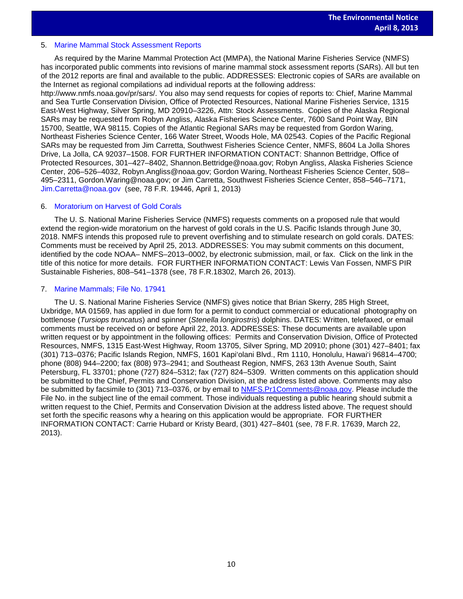### 5. [Marine Mammal Stock Assessment Reports](http://www.gpo.gov/fdsys/pkg/FR-2013-04-01/pdf/2013-07553.pdf)

As required by the Marine Mammal Protection Act (MMPA), the National Marine Fisheries Service (NMFS) has incorporated public comments into revisions of marine mammal stock assessment reports (SARs). All but ten of the 2012 reports are final and available to the public. ADDRESSES: Electronic copies of SARs are available on the Internet as regional compilations ad individual reports at the following address:

http://www.nmfs.noaa.gov/pr/sars/. You also may send requests for copies of reports to: Chief, Marine Mammal and Sea Turtle Conservation Division, Office of Protected Resources, National Marine Fisheries Service, 1315 East-West Highway, Silver Spring, MD 20910–3226, Attn: Stock Assessments. Copies of the Alaska Regional SARs may be requested from Robyn Angliss, Alaska Fisheries Science Center, 7600 Sand Point Way, BIN 15700, Seattle, WA 98115. Copies of the Atlantic Regional SARs may be requested from Gordon Waring, Northeast Fisheries Science Center, 166 Water Street, Woods Hole, MA 02543. Copies of the Pacific Regional SARs may be requested from Jim Carretta, Southwest Fisheries Science Center, NMFS, 8604 La Jolla Shores Drive, La Jolla, CA 92037–1508. FOR FURTHER INFORMATION CONTACT: Shannon Bettridge, Office of Protected Resources, 301–427–8402, Shannon.Bettridge@noaa.gov; Robyn Angliss, Alaska Fisheries Science Center, 206–526–4032, Robyn.Angliss@noaa.gov; Gordon Waring, Northeast Fisheries Science Center, 508– 495–2311, Gordon.Waring@noaa.gov; or Jim Carretta, Southwest Fisheries Science Center, 858–546–7171, [Jim.Carretta@noaa.gov](mailto:Jim.Carretta@noaa.gov) (see, 78 F.R. 19446, April 1, 2013)

### 6. [Moratorium on Harvest](http://www.gpo.gov/fdsys/pkg/FR-2013-03-26/pdf/2013-06903.pdf) of Gold Corals

The U. S. National Marine Fisheries Service (NMFS) requests comments on a proposed rule that would extend the region-wide moratorium on the harvest of gold corals in the U.S. Pacific Islands through June 30, 2018. NMFS intends this proposed rule to prevent overfishing and to stimulate research on gold corals. DATES: Comments must be received by April 25, 2013. ADDRESSES: You may submit comments on this document, identified by the code NOAA– NMFS–2013–0002, by electronic submission, mail, or fax. Click on the link in the title of this notice for more details. FOR FURTHER INFORMATION CONTACT: Lewis Van Fossen, NMFS PIR Sustainable Fisheries, 808–541–1378 (see, 78 F.R.18302, March 26, 2013).

### 7. [Marine Mammals; File No. 17941](http://www.gpo.gov/fdsys/pkg/FR-2013-03-22/pdf/2013-06593.pdf)

The U. S. National Marine Fisheries Service (NMFS) gives notice that Brian Skerry, 285 High Street, Uxbridge, MA 01569, has applied in due form for a permit to conduct commercial or educational photography on bottlenose (*Tursiops truncatus*) and spinner (*Stenella longirostris*) dolphins. DATES: Written, telefaxed, or email comments must be received on or before April 22, 2013. ADDRESSES: These documents are available upon written request or by appointment in the following offices: Permits and Conservation Division, Office of Protected Resources, NMFS, 1315 East-West Highway, Room 13705, Silver Spring, MD 20910; phone (301) 427–8401; fax (301) 713–0376; Pacific Islands Region, NMFS, 1601 Kapi'olani Blvd., Rm 1110, Honolulu, Hawai'i 96814–4700; phone (808) 944–2200; fax (808) 973–2941; and Southeast Region, NMFS, 263 13th Avenue South, Saint Petersburg, FL 33701; phone (727) 824–5312; fax (727) 824–5309. Written comments on this application should be submitted to the Chief, Permits and Conservation Division, at the address listed above. Comments may also be submitted by facsimile to (301) 713–0376, or by email to [NMFS.Pr1Comments@noaa.gov.](mailto:NMFS.Pr1Comments@noaa.gov) Please include the File No. in the subject line of the email comment. Those individuals requesting a public hearing should submit a written request to the Chief, Permits and Conservation Division at the address listed above. The request should set forth the specific reasons why a hearing on this application would be appropriate. FOR FURTHER INFORMATION CONTACT: Carrie Hubard or Kristy Beard, (301) 427–8401 (see, 78 F.R. 17639, March 22, 2013).